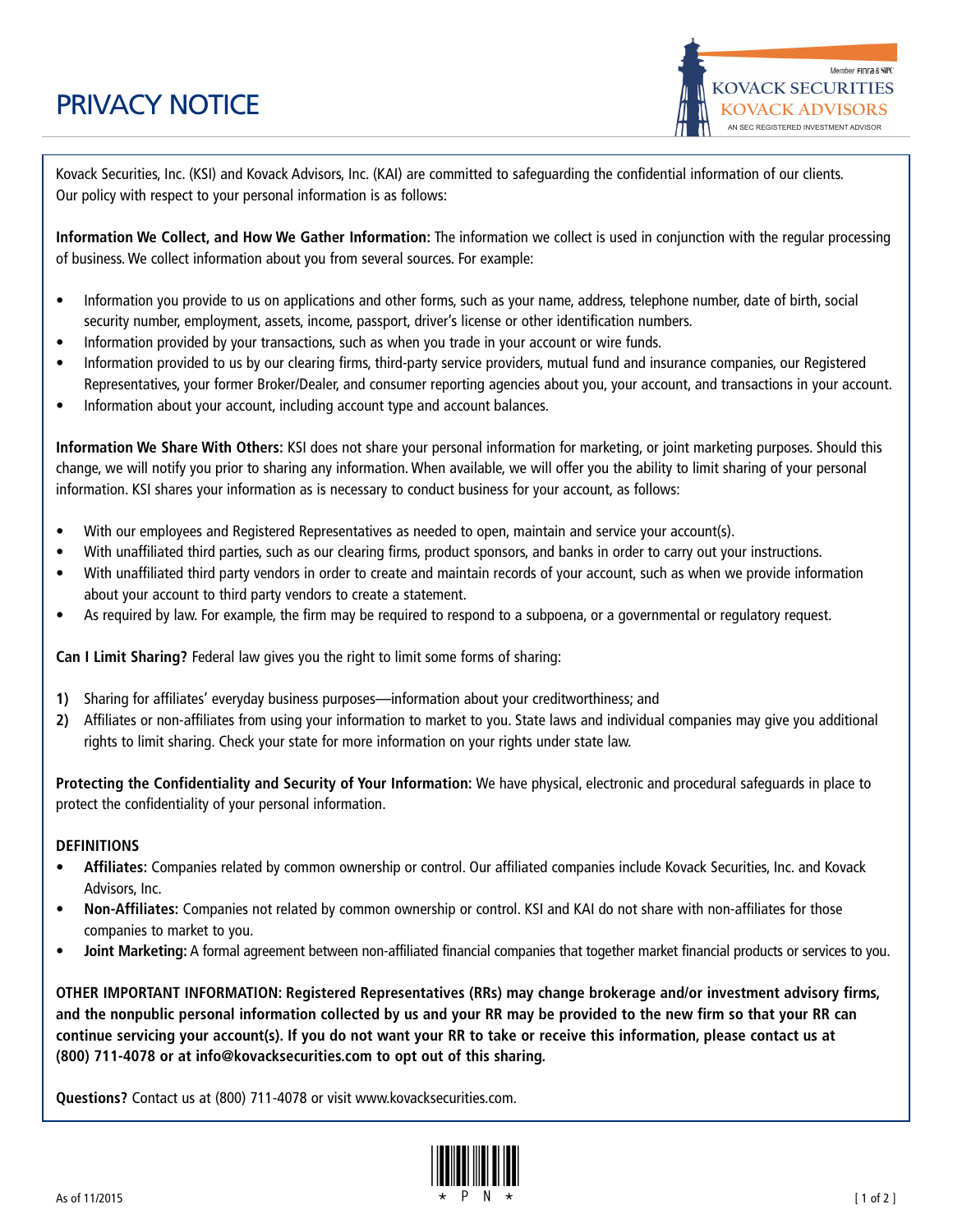## PRIVACY NOTICE

Member FINFa & SiPC **KOVACK SECURITIES KOVACK ADVISORS** AN SEC REGISTERED INVESTMENT ADVISOR

Kovack Securities, Inc. (KSI) and Kovack Advisors, Inc. (KAI) are committed to safeguarding the confidential information of our clients. Our policy with respect to your personal information is as follows:

**Information We Collect, and How We Gather Information:** The information we collect is used in conjunction with the regular processing of business. We collect information about you from several sources. For example:

- Information you provide to us on applications and other forms, such as your name, address, telephone number, date of birth, social security number, employment, assets, income, passport, driver's license or other identification numbers.
- Information provided by your transactions, such as when you trade in your account or wire funds.
- Information provided to us by our clearing firms, third-party service providers, mutual fund and insurance companies, our Registered Representatives, your former Broker/Dealer, and consumer reporting agencies about you, your account, and transactions in your account.
- Information about your account, including account type and account balances.

**Information We Share With Others:** KSI does not share your personal information for marketing, or joint marketing purposes. Should this change, we will notify you prior to sharing any information. When available, we will offer you the ability to limit sharing of your personal information. KSI shares your information as is necessary to conduct business for your account, as follows:

- With our employees and Registered Representatives as needed to open, maintain and service your account(s).
- With unaffiliated third parties, such as our clearing firms, product sponsors, and banks in order to carry out your instructions.
- With unaffiliated third party vendors in order to create and maintain records of your account, such as when we provide information about your account to third party vendors to create a statement.
- As required by law. For example, the firm may be required to respond to a subpoena, or a governmental or regulatory request.

**Can I Limit Sharing?** Federal law gives you the right to limit some forms of sharing:

- **1)** Sharing for affiliates' everyday business purposes—information about your creditworthiness; and
- **2)** Affiliates or non-affiliates from using your information to market to you. State laws and individual companies may give you additional rights to limit sharing. Check your state for more information on your rights under state law.

**Protecting the Confidentiality and Security of Your Information:** We have physical, electronic and procedural safeguards in place to protect the confidentiality of your personal information.

## **DEFINITIONS**

- **Affiliates:** Companies related by common ownership or control. Our affiliated companies include Kovack Securities, Inc. and Kovack Advisors, Inc.
- **Non-Affiliates:** Companies not related by common ownership or control. KSI and KAI do not share with non-affiliates for those companies to market to you.
- **Joint Marketing:** A formal agreement between non-affiliated financial companies that together market financial products or services to you.

**OTHER IMPORTANT INFORMATION: Registered Representatives (RRs) may change brokerage and/or investment advisory firms,** and the nonpublic personal information collected by us and your RR may be provided to the new firm so that your RR can continue servicing your account(s). If you do not want your RR to take or receive this information, please contact us at **(800) 711-4078 or at info@kovacksecurities.com to opt out of this sharing.**

**Questions?** Contact us at (800) 711-4078 or visit www.kovacksecurities.com.